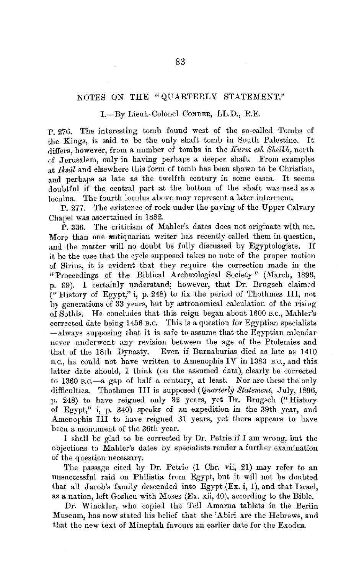## NOTES ON THE "QUARTERLY STATEMENT."

## 1.-By Lieut.-Colonel Conder, LL.D., R.E.

P. 27G. The interesting tomb found we3t of the so-called Tombs of the Kings, is said to be the only shaft tomb in South Palestine. It differs, however, from a number of tombs in the *Kurm esh Sheikh*, north of Jerusalem, only in having perhaps a deeper shaft. From examples at *Iksûl* and elsewhere this form of tomb has been shown to be Christian, and perhaps as late as the twelfth century in some cases. It seems doubtful if the central part at the bottom of the shaft was used as a loculus. The fourth loculus above may represent a later interment.

P. 277. The existence of rock under the paving of the Upper Calvary Chapel was ascertained in 1882.

 $\tilde{P}$ . 336. The criticism of Mahler's dates does not originate with me. More than one <del>a</del>ntiquarian writer has recently called them in question, and the matter will no doubt be fully discussed by Egyptologists. If it be the case that the cycle supposed takes no note of the proper motion of Sirius, it is evident that they require the correction made in the "Proceedings of the Biblical Archaeological Society" (March, 1896, p. 99). I certainly understand; however, that Dr. Brugsch claimed  $(V$  History of Egypt," i, p. 248) to fix the period of Thothmes III, not by generations of 33 years, but by astronomical calculation of the rising of Sothis. He concludes that this reign began about 1600 B.c., Mahler's corrected date being 1456 B.c. This is a question for Egyptian specialists  $-$ always supposing that it is safe to assume that the Egyptian calendar never underwent any revision between the age of the Ptolemies and that of the 18th Dynasty. Even if Burnaburias died as late as 1410 B.c., he could not have written to Amenophis IV in 1383 B.c., and this latter date should, I think (on the assumed data), clearly be corrected to 1360 B.c.-a gap of half a century, at least. Nor are these the only difficulties. Thothmes III is supposed *(Quarterly Statement,* July, 1896, p. 248) to have reigned only 32 years, yet **Dr.** Brngsch (" History of Egypt," i, p. 340) speaks of an expedition in the 39th year, and Amenophis III to have reigned 31 years, yet there appears to have been a monument of the 36th year.

I shall be glad to be corrected by Dr. Petrie if I am wrong, but the objections to Mahler's dates by specialists render a further examination of the question necessary.

The passage cited by Dr. Petrie (1 Chr. vii, 21) may refer to an unsuccessful raid on Philistia from Egypt, but it will not be doubted that all Jacob's family descended into Egypt  $(Ex. i, 1)$ , and that Israel, as a nation, left Goshen with Moses (Ex. xii, 40), according to the Bible.

Dr. Winckler, who copied the Tell Amarna tablets in the Berlin Museum, has now stated his belief that the 'Abiri are the Hebrews, and that the new text of Mineptah favours an earlier date for the Exodus.